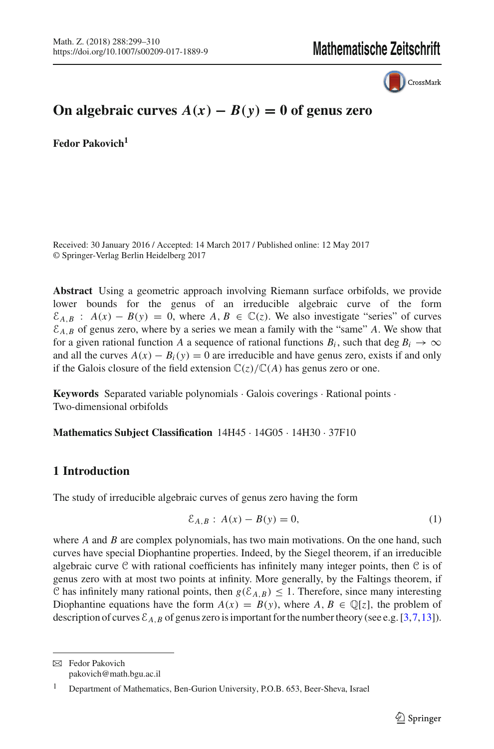

# **On algebraic curves**  $A(x) − B(y) = 0$  of genus zero

**Fedor Pakovich<sup>1</sup>**

Received: 30 January 2016 / Accepted: 14 March 2017 / Published online: 12 May 2017 © Springer-Verlag Berlin Heidelberg 2017

**Abstract** Using a geometric approach involving Riemann surface orbifolds, we provide lower bounds for the genus of an irreducible algebraic curve of the form  $\mathcal{E}_{A,B}$  :  $A(x) - B(y) = 0$ , where  $A, B \in \mathbb{C}(z)$ . We also investigate "series" of curves  $\mathcal{E}_{A,B}$  of genus zero, where by a series we mean a family with the "same" *A*. We show that for a given rational function *A* a sequence of rational functions  $B_i$ , such that deg  $B_i \to \infty$ and all the curves  $A(x) - B_i(y) = 0$  are irreducible and have genus zero, exists if and only if the Galois closure of the field extension  $\mathbb{C}(z)/\mathbb{C}(A)$  has genus zero or one.

**Keywords** Separated variable polynomials · Galois coverings · Rational points · Two-dimensional orbifolds

**Mathematics Subject Classification** 14H45 · 14G05 · 14H30 · 37F10

# **1 Introduction**

The study of irreducible algebraic curves of genus zero having the form

<span id="page-0-0"></span>
$$
\mathcal{E}_{A,B}: A(x) - B(y) = 0,
$$
 (1)

where *A* and *B* are complex polynomials, has two main motivations. On the one hand, such curves have special Diophantine properties. Indeed, by the Siegel theorem, if an irreducible algebraic curve  $C$  with rational coefficients has infinitely many integer points, then  $C$  is of genus zero with at most two points at infinity. More generally, by the Faltings theorem, if C has infinitely many rational points, then  $g(\mathcal{E}_{A,B}) \leq 1$ . Therefore, since many interesting Diophantine equations have the form  $A(x) = B(y)$ , where  $A, B \in \mathbb{Q}[z]$ , the problem of description of curves  $\mathcal{E}_{A,B}$  of genus zero is important for the number theory (see e.g. [\[3](#page-10-0)[,7,](#page-10-1)[13](#page-11-0)]).

B Fedor Pakovich pakovich@math.bgu.ac.il

<sup>1</sup> Department of Mathematics, Ben-Gurion University, P.O.B. 653, Beer-Sheva, Israel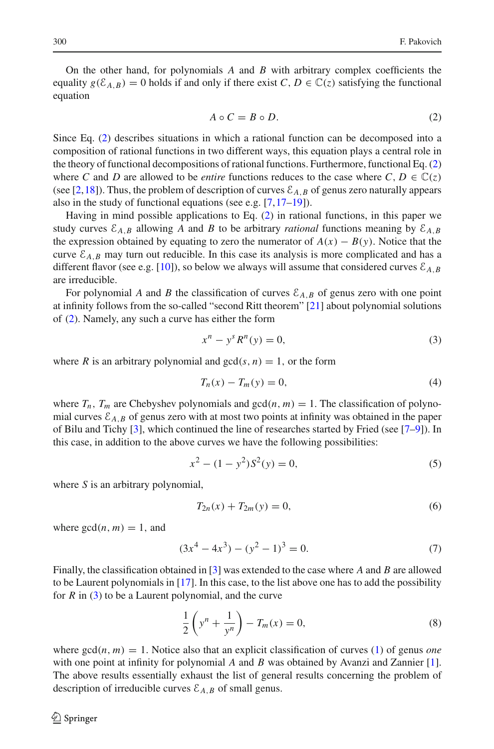On the other hand, for polynomials *A* and *B* with arbitrary complex coefficients the equality  $g(\mathcal{E}_{A,B}) = 0$  holds if and only if there exist *C*,  $D \in \mathbb{C}(z)$  satisfying the functional equation

<span id="page-1-0"></span>
$$
A \circ C = B \circ D. \tag{2}
$$

Since Eq. [\(2\)](#page-1-0) describes situations in which a rational function can be decomposed into a composition of rational functions in two different ways, this equation plays a central role in the theory of functional decompositions of rational functions. Furthermore, functional Eq. [\(2\)](#page-1-0) where *C* and *D* are allowed to be *entire* functions reduces to the case where *C*,  $D \in \mathbb{C}(z)$ (see [\[2](#page-10-2)[,18\]](#page-11-1)). Thus, the problem of description of curves  $\mathcal{E}_{A,B}$  of genus zero naturally appears also in the study of functional equations (see e.g. [\[7,](#page-10-1)[17](#page-11-2)[–19](#page-11-3)]).

Having in mind possible applications to Eq. [\(2\)](#page-1-0) in rational functions, in this paper we study curves  $\mathcal{E}_{A,B}$  allowing *A* and *B* to be arbitrary *rational* functions meaning by  $\mathcal{E}_{A,B}$ the expression obtained by equating to zero the numerator of  $A(x) - B(y)$ . Notice that the curve  $\mathcal{E}_{A,B}$  may turn out reducible. In this case its analysis is more complicated and has a different flavor (see e.g. [\[10\]](#page-11-4)), so below we always will assume that considered curves  $\mathcal{E}_{A,B}$ are irreducible.

For polynomial *A* and *B* the classification of curves  $\mathcal{E}_{A,B}$  of genus zero with one point at infinity follows from the so-called "second Ritt theorem" [\[21](#page-11-5)] about polynomial solutions of [\(2\)](#page-1-0). Namely, any such a curve has either the form

<span id="page-1-1"></span>
$$
x^n - y^s R^n(y) = 0,
$$
 (3)

where *R* is an arbitrary polynomial and  $gcd(s, n) = 1$ , or the form

<span id="page-1-3"></span>
$$
T_n(x) - T_m(y) = 0,
$$
\n(4)

where  $T_n$ ,  $T_m$  are Chebyshev polynomials and  $gcd(n, m) = 1$ . The classification of polynomial curves  $\mathcal{E}_{A,B}$  of genus zero with at most two points at infinity was obtained in the paper of Bilu and Tichy [\[3\]](#page-10-0), which continued the line of researches started by Fried (see [\[7](#page-10-1)[–9](#page-10-3)]). In this case, in addition to the above curves we have the following possibilities:

$$
x^2 - (1 - y^2)S^2(y) = 0,\t\t(5)
$$

where *S* is an arbitrary polynomial,

$$
T_{2n}(x) + T_{2m}(y) = 0,\t\t(6)
$$

where  $gcd(n, m) = 1$ , and

<span id="page-1-2"></span>
$$
(3x4 - 4x3) - (y2 - 1)3 = 0.
$$
 (7)

Finally, the classification obtained in [\[3\]](#page-10-0) was extended to the case where *A* and *B* are allowed to be Laurent polynomials in [\[17\]](#page-11-2). In this case, to the list above one has to add the possibility for *R* in [\(3\)](#page-1-1) to be a Laurent polynomial, and the curve

<span id="page-1-4"></span>
$$
\frac{1}{2}\left(y^{n} + \frac{1}{y^{n}}\right) - T_{m}(x) = 0,
$$
\n(8)

where  $gcd(n, m) = 1$ . Notice also that an explicit classification of curves [\(1\)](#page-0-0) of genus *one* with one point at infinity for polynomial *A* and *B* was obtained by Avanzi and Zannier [\[1\]](#page-10-4). The above results essentially exhaust the list of general results concerning the problem of description of irreducible curves  $\mathcal{E}_{A,B}$  of small genus.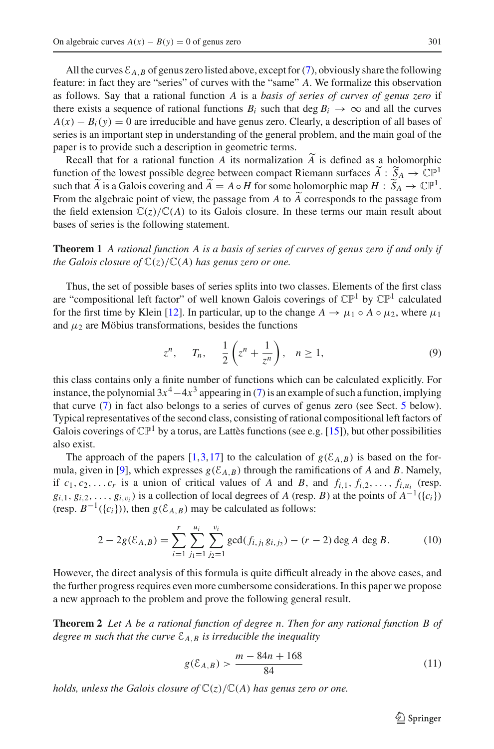All the curves  $\mathcal{E}_{A,B}$  of genus zero listed above, except for [\(7\)](#page-1-2), obviously share the following feature: in fact they are "series" of curves with the "same" *A*. We formalize this observation as follows. Say that a rational function *A* is a *basis of series of curves of genus zero* if there exists a sequence of rational functions  $B_i$  such that deg  $B_i \to \infty$  and all the curves  $A(x) - B<sub>i</sub>(y) = 0$  are irreducible and have genus zero. Clearly, a description of all bases of series is an important step in understanding of the general problem, and the main goal of the paper is to provide such a description in geometric terms.

Recall that for a rational function *A* its normalization *A* is defined as a holomorphic<br>testing of the layers normalized between connect Diamann awforce  $\widetilde{A}$  is  $\widetilde{S}$  in  $\mathbb{C}^{\mathbb{R}}$ function of the lowest possible degree between compact Riemann surfaces  $\widetilde{A}$  :  $\widetilde{S}_A \to \mathbb{CP}^1$ such that  $\widetilde{A}$  is a Galois covering and  $\widetilde{A} = A \circ H$  for some holomorphic map  $H : \widetilde{S}_A \to \mathbb{CP}^1$ . From the algebraic point of view, the passage from *A* to *A* corresponds to the passage from<br>the field extension  $C(z)$  (C(A) to its Calais algebra. In these tarms any main result about the field extension  $\mathbb{C}(z)/\mathbb{C}(A)$  to its Galois closure. In these terms our main result about bases of series is the following statement.

<span id="page-2-0"></span>**Theorem 1** *A rational function A is a basis of series of curves of genus zero if and only if the Galois closure of*  $\mathbb{C}(z)/\mathbb{C}(A)$  *has genus zero or one.* 

Thus, the set of possible bases of series splits into two classes. Elements of the first class are "compositional left factor" of well known Galois coverings of  $\mathbb{CP}^1$  by  $\mathbb{CP}^1$  calculated for the first time by Klein [\[12](#page-11-6)]. In particular, up to the change  $A \to \mu_1 \circ A \circ \mu_2$ , where  $\mu_1$ and  $\mu_2$  are Möbius transformations, besides the functions

$$
z^n, \quad T_n, \quad \frac{1}{2}\left(z^n + \frac{1}{z^n}\right), \quad n \ge 1,\tag{9}
$$

this class contains only a finite number of functions which can be calculated explicitly. For instance, the polynomial  $3x^4-4x^3$  appearing in [\(7\)](#page-1-2) is an example of such a function, implying that curve [\(7\)](#page-1-2) in fact also belongs to a series of curves of genus zero (see Sect. [5](#page-9-0) below). Typical representatives of the second class, consisting of rational compositional left factors of Galois coverings of  $\mathbb{CP}^1$  by a torus, are Lattès functions (see e.g. [\[15](#page-11-7)]), but other possibilities also exist.

The approach of the papers [\[1](#page-10-4),[3](#page-10-0)[,17\]](#page-11-2) to the calculation of  $g(\mathcal{E}_{A,B})$  is based on the for-mula, given in [\[9](#page-10-3)], which expresses  $g(\mathcal{E}_{A,B})$  through the ramifications of *A* and *B*. Namely, if  $c_1, c_2, \ldots, c_r$  is a union of critical values of *A* and *B*, and  $f_{i,1}, f_{i,2}, \ldots, f_{i,u_i}$  (resp.  $g_{i,1}, g_{i,2}, \ldots, g_{i,v_i}$  is a collection of local degrees of *A* (resp. *B*) at the points of  $A^{-1}(\{c_i\})$ (resp.  $B^{-1}({c_i})$ ), then  $g(\mathcal{E}_{A,B})$  may be calculated as follows:

$$
2 - 2g(\mathcal{E}_{A,B}) = \sum_{i=1}^{r} \sum_{j_1=1}^{u_i} \sum_{j_2=1}^{v_i} \gcd(f_{i,j_1}g_{i,j_2}) - (r-2)\deg A \deg B.
$$
 (10)

However, the direct analysis of this formula is quite difficult already in the above cases, and the further progress requires even more cumbersome considerations. In this paper we propose a new approach to the problem and prove the following general result.

<span id="page-2-1"></span>**Theorem 2** *Let A be a rational function of degree n. Then for any rational function B of degree m such that the curve*  $\mathcal{E}_{A,B}$  *is irreducible the inequality* 

<span id="page-2-2"></span>
$$
g(\mathcal{E}_{A,B}) > \frac{m - 84n + 168}{84} \tag{11}
$$

*holds, unless the Galois closure of* C(*z*)/C(*A*) *has genus zero or one.*

 $\circled{2}$  Springer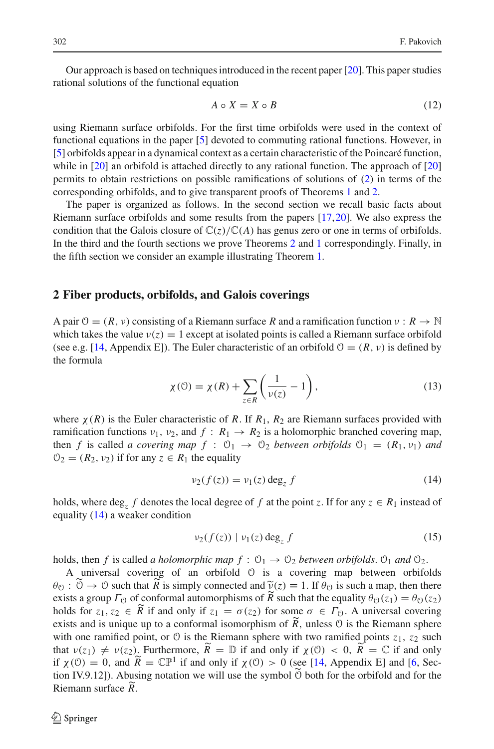Our approach is based on techniques introduced in the recent paper [\[20\]](#page-11-8). This paper studies rational solutions of the functional equation

<span id="page-3-2"></span>
$$
A \circ X = X \circ B \tag{12}
$$

using Riemann surface orbifolds. For the first time orbifolds were used in the context of functional equations in the paper [\[5](#page-10-5)] devoted to commuting rational functions. However, in [\[5](#page-10-5)] orbifolds appear in a dynamical context as a certain characteristic of the Poincaré function, while in [\[20](#page-11-8)] an orbifold is attached directly to any rational function. The approach of [\[20\]](#page-11-8) permits to obtain restrictions on possible ramifications of solutions of [\(2\)](#page-1-0) in terms of the corresponding orbifolds, and to give transparent proofs of Theorems [1](#page-2-0) and [2.](#page-2-1)

The paper is organized as follows. In the second section we recall basic facts about Riemann surface orbifolds and some results from the papers [\[17](#page-11-2),[20](#page-11-8)]. We also express the condition that the Galois closure of  $\mathbb{C}(z)/\mathbb{C}(A)$  has genus zero or one in terms of orbifolds. In the third and the fourth sections we prove Theorems [2](#page-2-1) and [1](#page-2-0) correspondingly. Finally, in the fifth section we consider an example illustrating Theorem [1.](#page-2-0)

#### **2 Fiber products, orbifolds, and Galois coverings**

A pair  $\theta = (R, \nu)$  consisting of a Riemann surface R and a ramification function  $\nu : R \to \mathbb{N}$ which takes the value  $v(z) = 1$  except at isolated points is called a Riemann surface orbifold (see e.g. [\[14](#page-11-9), Appendix E]). The Euler characteristic of an orbifold  $\mathcal{O} = (R, \nu)$  is defined by the formula

<span id="page-3-3"></span>
$$
\chi(\mathcal{O}) = \chi(R) + \sum_{z \in R} \left( \frac{1}{\nu(z)} - 1 \right),\tag{13}
$$

where  $\chi(R)$  is the Euler characteristic of R. If  $R_1$ ,  $R_2$  are Riemann surfaces provided with ramification functions  $v_1$ ,  $v_2$ , and  $f : R_1 \rightarrow R_2$  is a holomorphic branched covering map, then *f* is called *a covering map*  $f : \mathcal{O}_1 \to \mathcal{O}_2$  *between orbifolds*  $\mathcal{O}_1 = (R_1, v_1)$  *and*  $\mathcal{O}_2 = (R_2, \nu_2)$  if for any  $z \in R_1$  the equality

<span id="page-3-0"></span>
$$
\nu_2(f(z)) = \nu_1(z) \deg_z f \tag{14}
$$

holds, where  $\deg_z f$  denotes the local degree of f at the point *z*. If for any  $z \in R_1$  instead of equality [\(14\)](#page-3-0) a weaker condition

<span id="page-3-1"></span>
$$
\nu_2(f(z)) \mid \nu_1(z) \deg_z f \tag{15}
$$

holds, then *f* is called *a holomorphic map*  $f: \mathcal{O}_1 \to \mathcal{O}_2$  *between orbifolds*.  $\mathcal{O}_1$  *and*  $\mathcal{O}_2$ *.* 

A universal covering of an orbifold O is a covering map between orbifolds  $\theta_{\mathcal{O}}: \mathcal{O} \to \mathcal{O}$  such that *R* is simply connected and  $\tilde{v}(z) \equiv 1$ . If  $\theta_{\mathcal{O}}$  is such a map, then there exists a group  $\Gamma_{\mathcal{O}}$  of conformal automorphisms of  $\tilde{R}$  such that the equality  $\theta_{\mathcal{O}}$ exists a group  $\Gamma_{\mathcal{O}}$  of conformal automorphisms of *R* such that the equality  $\theta_{\mathcal{O}}(z_1) = \theta_{\mathcal{O}}(z_2)$ holds for  $z_1, z_2 \in R$  if and only if  $z_1 = \sigma(z_2)$  for some  $\sigma \in \Gamma_0$ . A universal covering exists and is unique up to a conformal isomorphism of *R*, unless  $\odot$  is the Riemann sphere with one ramified point, or  $\circ$  is the Riemann sphere with two ramified points  $z_1$ ,  $z_2$  such that  $\nu(z_1) \neq \nu(z_2)$ . Furthermore,  $\widetilde{R} = \mathbb{D}$  if and only if  $\chi(0) < 0$ ,  $\widetilde{R} = \mathbb{C}$  if and only if  $\chi$ (0) = 0, and  $\widetilde{R} = \mathbb{CP}^1$  if and only if  $\chi$ (0) > 0 (see [\[14,](#page-11-9) Appendix E] and [\[6,](#page-10-6) Section IV.9.12]). Abusing notation we will use the symbol <sup>O</sup> both for the orbifold and for the Riemann surface *R* .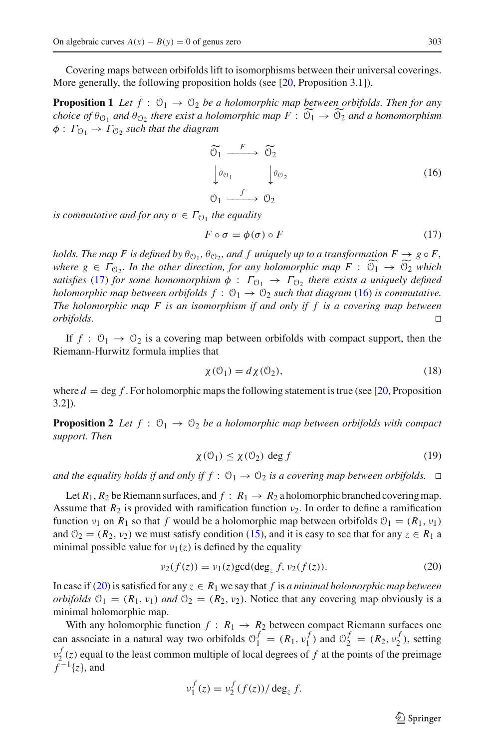<span id="page-4-4"></span>Covering maps between orbifolds lift to isomorphisms between their universal coverings. More generally, the following proposition holds (see [\[20,](#page-11-8) Proposition 3.1]).

**Proposition 1** *Let*  $f: \mathcal{O}_1 \to \mathcal{O}_2$  *be a holomorphic map between orbifolds. Then for any choice of*  $\theta_{\mathcal{O}_1}$  *and*  $\theta_{\mathcal{O}_2}$  *there exist a holomorphic map*  $F : \mathcal{O}_1 \to \mathcal{O}_2$  *and a homomorphism*  $\phi: \Gamma_{\mathcal{O}_1} \to \Gamma_{\mathcal{O}_2}$  *such that the diagram* 

<span id="page-4-1"></span>
$$
\widetilde{\Theta_1} \xrightarrow{F} \widetilde{\Theta_2} \n\downarrow^{\theta_{\Theta_1}} \qquad \downarrow^{\theta_{\Theta_2}} \n\Theta_1 \xrightarrow{f} \Theta_2
$$
\n(16)

*is commutative and for any*  $\sigma \in \Gamma_{\mathcal{O}_1}$  *the equality* 

<span id="page-4-0"></span>
$$
F \circ \sigma = \phi(\sigma) \circ F \tag{17}
$$

*holds. The map F is defined by*  $\theta_{\mathcal{O}_1}$ ,  $\theta_{\mathcal{O}_2}$ , and f uniquely up to a transformation  $F \to g \circ F$ , *where*  $g \in \Gamma_{\mathcal{O}_2}$ . In the other direction, for any holomorphic map  $F : \mathcal{O}_1 \to \mathcal{O}_2$  which *satisfies* [\(17\)](#page-4-0) *for some homomorphism*  $\phi : \Gamma_{0} \to \Gamma_{0}$ *, there exists a uniquely defined holomorphic map between orbifolds*  $f: \mathcal{O}_1 \to \mathcal{O}_2$  *such that diagram* [\(16\)](#page-4-1) *is commutative. The holomorphic map F is an isomorphism if and only if f is a covering map between orbifolds.*  $\Box$ 

If  $f: \mathcal{O}_1 \to \mathcal{O}_2$  is a covering map between orbifolds with compact support, then the Riemann-Hurwitz formula implies that

<span id="page-4-5"></span>
$$
\chi(\mathcal{O}_1) = d\chi(\mathcal{O}_2),\tag{18}
$$

<span id="page-4-3"></span>where  $d = \deg f$ . For holomorphic maps the following statement is true (see [\[20](#page-11-8), Proposition 3.2]).

**Proposition 2** *Let*  $f : \mathcal{O}_1 \to \mathcal{O}_2$  *be a holomorphic map between orbifolds with compact support. Then*

$$
\chi(\mathcal{O}_1) \le \chi(\mathcal{O}_2) \deg f \tag{19}
$$

and the equality holds if and only if  $f: \mathfrak{O}_1 \to \mathfrak{O}_2$  is a covering map between orbifolds.  $\Box$ 

Let  $R_1$ ,  $R_2$  be Riemann surfaces, and  $f: R_1 \rightarrow R_2$  a holomorphic branched covering map. Assume that  $R_2$  is provided with ramification function  $\nu_2$ . In order to define a ramification function  $v_1$  on  $R_1$  so that *f* would be a holomorphic map between orbifolds  $O_1 = (R_1, v_1)$ and  $\mathcal{O}_2 = (R_2, \nu_2)$  we must satisfy condition [\(15\)](#page-3-1), and it is easy to see that for any  $z \in R_1$  a minimal possible value for  $v_1(z)$  is defined by the equality

<span id="page-4-2"></span>
$$
\nu_2(f(z)) = \nu_1(z) \gcd(\deg_z f, \nu_2(f(z)).
$$
\n(20)

In case if [\(20\)](#page-4-2) is satisfied for any  $z \in R_1$  we say that f is *a minimal holomorphic map between orbifolds*  $O_1 = (R_1, v_1)$  *and*  $O_2 = (R_2, v_2)$ . Notice that any covering map obviously is a minimal holomorphic map.

With any holomorphic function  $f : R_1 \rightarrow R_2$  between compact Riemann surfaces one can associate in a natural way two orbifolds  $\mathcal{O}_1^f = (R_1, v_1^f)$  and  $\mathcal{O}_2^f = (R_2, v_2^f)$ , setting  $v_2^f(z)$  equal to the least common multiple of local degrees of *f* at the points of the preimage  $\bar{f}^{-1}{z}$ , and

$$
v_1^f(z) = v_2^f(f(z))/\deg_z f.
$$

 $\mathcal{L}$  Springer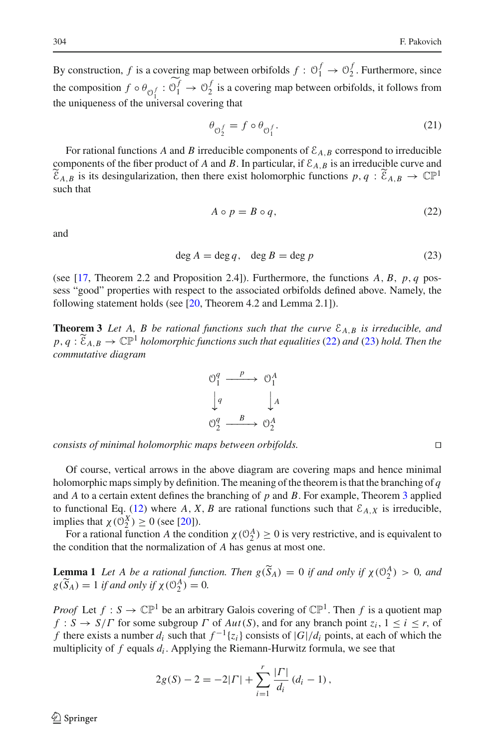By construction, *f* is a covering map between orbifolds  $f: \mathcal{O}_1^f \to \mathcal{O}_2^f$ . Furthermore, since the composition  $f \circ \theta_{\bigcirc_1^f} : \bigcirc_1^f \to \bigcirc_2^f$  is a covering map between orbifolds, it follows from the uniqueness of the universal covering that

$$
\theta_{\mathcal{O}_2^f} = f \circ \theta_{\mathcal{O}_1^f}.\tag{21}
$$

For rational functions *A* and *B* irreducible components of  $\mathcal{E}_{A,B}$  correspond to irreducible components of the fiber product of *A* and *B*. In particular, if  $\mathcal{E}_{A,B}$  is an irreducible curve and  $\widetilde{\mathcal{E}}_{A,B}$  is its desingularization, then there exist holomorphic functions  $p, q : \widetilde{\mathcal{E}}_{A,B} \to \mathbb{C}\mathbb{P}^1$ such that

<span id="page-5-0"></span>
$$
A \circ p = B \circ q,\tag{22}
$$

and

<span id="page-5-1"></span>
$$
\deg A = \deg q, \quad \deg B = \deg p \tag{23}
$$

(see [\[17](#page-11-2), Theorem 2.2 and Proposition 2.4]). Furthermore, the functions *A*, *B*, *p*, *q* possess "good" properties with respect to the associated orbifolds defined above. Namely, the following statement holds (see [\[20,](#page-11-8) Theorem 4.2 and Lemma 2.1]).

<span id="page-5-2"></span>**Theorem 3** *Let A, B be rational functions such that the curve*  $\mathcal{E}_{A,B}$  *is irreducible, and*  $p, q: \tilde{\mathcal{E}}_{A,B} \to \mathbb{C}\mathbb{P}^1$  *holomorphic functions such that equalities* [\(22\)](#page-5-0) *and* [\(23\)](#page-5-1) *hold. Then the commutative diagram*



*consists of minimal holomorphic maps between orbifolds.*

Of course, vertical arrows in the above diagram are covering maps and hence minimal holomorphic maps simply by definition. The meaning of the theorem is that the branching of *q* and *A* to a certain extent defines the branching of *p* and *B*. For example, Theorem [3](#page-5-2) applied to functional Eq. [\(12\)](#page-3-2) where *A*, *X*, *B* are rational functions such that  $\mathcal{E}_{A,X}$  is irreducible, implies that  $\chi(\mathcal{O}_2^X) \geq 0$  (see [\[20](#page-11-8)]).

<span id="page-5-3"></span>For a rational function *A* the condition  $\chi$  ( $\mathcal{O}_2^A$ )  $\geq$  0 is very restrictive, and is equivalent to the condition that the normalization of *A* has genus at most one.

**Lemma 1** *Let A be a rational function. Then*  $g(\widetilde{S}_A) = 0$  *if and only if*  $\chi(\mathbb{O}_2^A) > 0$ *, and*  $g(\widetilde{S}_A) = 1$  *if and only if*  $\chi(\mathcal{O}_2^A) = 0$ *.* 

*Proof* Let  $f : S \to \mathbb{CP}^1$  be an arbitrary Galois covering of  $\mathbb{CP}^1$ . Then f is a quotient map *f* : *S*  $\rightarrow$  *S*/*Γ* for some subgroup *Γ* of *Aut*(*S*), and for any branch point *z<sub>i</sub>*,  $1 \le i \le r$ , of *f* there exists a number  $d_i$  such that  $f^{-1}{z_i}$  consists of  $|G|/d_i$  points, at each of which the multiplicity of *f* equals *di* . Applying the Riemann-Hurwitz formula, we see that

$$
2g(S) - 2 = -2|\Gamma| + \sum_{i=1}^{r} \frac{|\Gamma|}{d_i} (d_i - 1),
$$

 $\circledcirc$  Springer

 $\Box$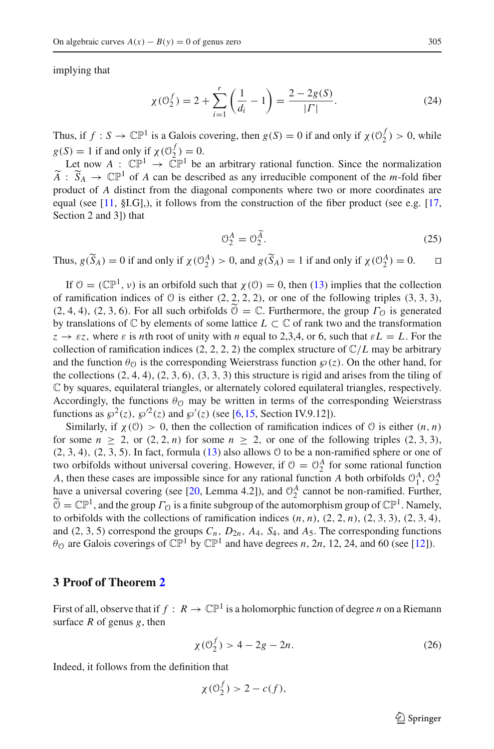implying that

$$
\chi(\mathcal{O}_2^f) = 2 + \sum_{i=1}^r \left(\frac{1}{d_i} - 1\right) = \frac{2 - 2g(S)}{|\Gamma|}.
$$
 (24)

Thus, if  $f: S \to \mathbb{CP}^1$  is a Galois covering, then  $g(S) = 0$  if and only if  $\chi(\mathcal{O}_2^f) > 0$ , while  $g(S) = 1$  if and only if  $\chi(\mathcal{O}_2^f) = 0$ .

Let now  $A: \mathbb{CP}^1 \to \mathbb{CP}^1$  be an arbitrary rational function. Since the normalization  $\widetilde{A}$  :  $\widetilde{S}_A \to \mathbb{CP}^1$  of *A* can be described as any irreducible component of the *m*-fold fiber product of *A* distinct from the diagonal components where two or more coordinates are equal (see  $[11, § I.G],$  $[11, § I.G],$ ), it follows from the construction of the fiber product (see e.g.  $[17,$ Section 2 and 3]) that

$$
\mathcal{O}_2^A = \mathcal{O}_2^{\widetilde{A}}.\tag{25}
$$

Thus,  $g(\tilde{S}_A) = 0$  if and only if  $\chi(\mathcal{O}_2^A) > 0$ , and  $g(\tilde{S}_A) = 1$  if and only if  $\chi(\mathcal{O}_2^A) = 0$ .  $\Box$ 

If  $\mathcal{O} = (\mathbb{CP}^1, v)$  is an orbifold such that  $\chi(\mathcal{O}) = 0$ , then [\(13\)](#page-3-3) implies that the collection of ramification indices of  $\theta$  is either  $(2, 2, 2, 2)$ , or one of the following triples  $(3, 3, 3)$ ,  $(2, 4, 4)$ ,  $(2, 3, 6)$ . For all such orbifolds  $\mathcal{O} = \mathbb{C}$ . Furthermore, the group  $\Gamma_{\Omega}$  is generated by translations of  $\mathbb C$  by elements of some lattice  $L \subset \mathbb C$  of rank two and the transformation  $z \rightarrow \varepsilon z$ , where  $\varepsilon$  is *n*th root of unity with *n* equal to 2,3,4, or 6, such that  $\varepsilon L = L$ . For the collection of ramification indices  $(2, 2, 2, 2)$  the complex structure of  $\mathbb{C}/L$  may be arbitrary and the function  $\theta_{\mathcal{O}}$  is the corresponding Weierstrass function  $\wp(z)$ . On the other hand, for the collections  $(2, 4, 4)$ ,  $(2, 3, 6)$ ,  $(3, 3, 3)$  this structure is rigid and arises from the tiling of C by squares, equilateral triangles, or alternately colored equilateral triangles, respectively. Accordingly, the functions  $\theta_{\mathcal{O}}$  may be written in terms of the corresponding Weierstrass functions as  $\wp^2(z)$ ,  $\wp'^2(z)$  and  $\wp'(z)$  (see [\[6,](#page-10-6)[15](#page-11-7), Section IV.9.12]).

Similarly, if  $\chi(0) > 0$ , then the collection of ramification indices of 0 is either  $(n, n)$ for some  $n \ge 2$ , or  $(2, 2, n)$  for some  $n \ge 2$ , or one of the following triples  $(2, 3, 3)$ ,  $(2, 3, 4)$ ,  $(2, 3, 5)$ . In fact, formula  $(13)$  also allows  $\theta$  to be a non-ramified sphere or one of two orbifolds without universal covering. However, if  $\mathcal{O} = \mathcal{O}_2^A$  for some rational function *A*, then these cases are impossible since for any rational function *A* both orbifolds  $\mathcal{O}_1^A$ ,  $\mathcal{O}_2^A$ have a universal covering (see [\[20,](#page-11-8) Lemma 4.2]), and  $\mathcal{O}_2^A$  cannot be non-ramified. Further,  $\widetilde{O} = \mathbb{CP}^1$ , and the group  $\Gamma_{\mathcal{O}}$  is a finite subgroup of the automorphism group of  $\mathbb{CP}^1$ . Namely, to orbifolds with the collections of ramification indices  $(n, n)$ ,  $(2, 2, n)$ ,  $(2, 3, 3)$ ,  $(2, 3, 4)$ , and (2, 3, 5) correspond the groups  $C_n$ ,  $D_{2n}$ ,  $A_4$ ,  $S_4$ , and  $A_5$ . The corresponding functions  $\theta_{\mathcal{O}}$  are Galois coverings of  $\mathbb{CP}^1$  by  $\mathbb{CP}^1$  and have degrees *n*, 2*n*, 12, 24, and 60 (see [\[12\]](#page-11-6)).

#### **3 Proof of Theorem [2](#page-2-1)**

First of all, observe that if  $f : R \to \mathbb{CP}^1$  is a holomorphic function of degree *n* on a Riemann surface *R* of genus *g*, then

<span id="page-6-0"></span>
$$
\chi(\mathcal{O}_2^f) > 4 - 2g - 2n. \tag{26}
$$

Indeed, it follows from the definition that

$$
\chi(\mathcal{O}_2^f) > 2 - c(f),
$$

 $\circled{2}$  Springer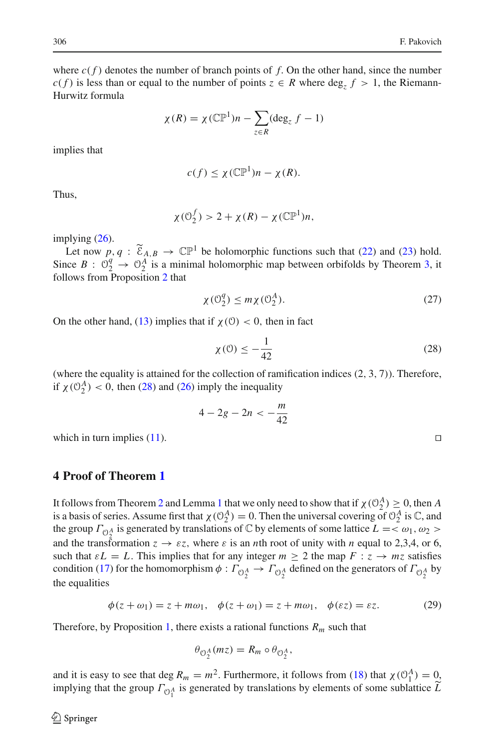where  $c(f)$  denotes the number of branch points of f. On the other hand, since the number *c*(*f*) is less than or equal to the number of points *z* ∈ *R* where deg<sub>*z*</sub> *f* > 1, the Riemann-Hurwitz formula

$$
\chi(R) = \chi(\mathbb{CP}^1)n - \sum_{z \in R} (\deg_z f - 1)
$$

implies that

$$
c(f) \leq \chi(\mathbb{CP}^1)n - \chi(R).
$$

Thus,

$$
\chi(\mathcal{O}_2^f) > 2 + \chi(R) - \chi(\mathbb{CP}^1)n,
$$

implying [\(26\)](#page-6-0).

Let now  $p, q : \tilde{\mathcal{E}}_{A,B} \to \mathbb{CP}^1$  be holomorphic functions such that [\(22\)](#page-5-0) and [\(23\)](#page-5-1) hold. Since  $B: \mathcal{O}_2^q \to \mathcal{O}_2^A$  is a minimal holomorphic map between orbifolds by Theorem [3,](#page-5-2) it follows from Proposition [2](#page-4-3) that

$$
\chi(\mathcal{O}_2^q) \le m\chi(\mathcal{O}_2^A). \tag{27}
$$

On the other hand, [\(13\)](#page-3-3) implies that if  $\chi$  (0) < 0, then in fact

<span id="page-7-0"></span>
$$
\chi(\mathbf{0}) \le -\frac{1}{42} \tag{28}
$$

(where the equality is attained for the collection of ramification indices (2, 3, 7)). Therefore, if  $\chi$  ( $\mathcal{O}_2^A$ ) < 0, then [\(28\)](#page-7-0) and [\(26\)](#page-6-0) imply the inequality

$$
4-2g-2n<-\frac{m}{42}
$$

which in turn implies  $(11)$ .

#### **4 Proof of Theorem [1](#page-2-0)**

It follows from Theorem [2](#page-2-1) and Lemma [1](#page-5-3) that we only need to show that if  $\chi(\mathcal{O}_2^A) \geq 0$ , then *A* is a basis of series. Assume first that  $\chi(\mathcal{O}_2^A) = 0$ . Then the universal covering of  $\mathcal{O}_2^A$  is  $\mathbb{C}$ , and the group  $\Gamma_{\bigcirc{\!}_2^A}$  is generated by translations of C by elements of some lattice  $L = \langle \omega_1, \omega_2 \rangle$ and the transformation  $z \rightarrow \varepsilon z$ , where  $\varepsilon$  is an *n*th root of unity with *n* equal to 2,3,4, or 6, such that  $\epsilon L = L$ . This implies that for any integer  $m \geq 2$  the map  $F : z \rightarrow mz$  satisfies condition [\(17\)](#page-4-0) for the homomorphism  $\phi : \Gamma_{\mathcal{O}_2^A} \to \Gamma_{\mathcal{O}_2^A}$  defined on the generators of  $\Gamma_{\mathcal{O}_2^A}$  by the equalities

<span id="page-7-1"></span>
$$
\phi(z+\omega_1)=z+m\omega_1, \quad \phi(z+\omega_1)=z+m\omega_1, \quad \phi(\varepsilon z)=\varepsilon z. \tag{29}
$$

Therefore, by Proposition [1,](#page-4-4) there exists a rational functions  $R_m$  such that

$$
\theta_{\mathcal{O}_2^A}(mz) = R_m \circ \theta_{\mathcal{O}_2^A},
$$

and it is easy to see that deg  $R_m = m^2$ . Furthermore, it follows from [\(18\)](#page-4-5) that  $\chi(\mathcal{O}_1^A) = 0$ . implying that the group  $\Gamma_{\mathcal{O}_1^A}$  is generated by translations by elements of some sublattice *L* 

 $\Box$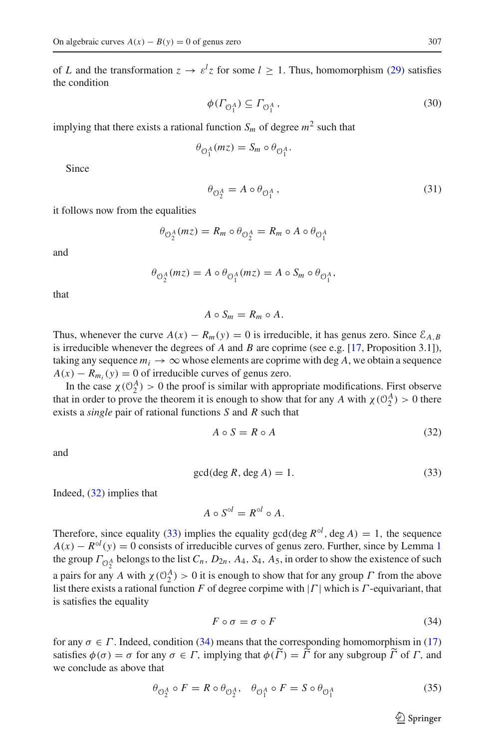of *L* and the transformation  $z \to \varepsilon^l z$  for some  $l \ge 1$ . Thus, homomorphism [\(29\)](#page-7-1) satisfies the condition

$$
\phi(\Gamma_{\mathcal{O}_1^A}) \subseteq \Gamma_{\mathcal{O}_1^A},\tag{30}
$$

implying that there exists a rational function  $S_m$  of degree  $m^2$  such that

$$
\theta_{\mathcal{O}_1^A}(mz) = S_m \circ \theta_{\mathcal{O}_1^A}.
$$

Since

<span id="page-8-3"></span>
$$
\theta_{\mathcal{O}_2^A} = A \circ \theta_{\mathcal{O}_1^A},\tag{31}
$$

it follows now from the equalities

$$
\theta_{\mathcal{O}_2^A}(mz) = R_m \circ \theta_{\mathcal{O}_2^A} = R_m \circ A \circ \theta_{\mathcal{O}_1^A}
$$

and

$$
\theta_{\mathcal{O}_2^A}(mz) = A \circ \theta_{\mathcal{O}_1^A}(mz) = A \circ S_m \circ \theta_{\mathcal{O}_1^A},
$$

that

$$
A\circ S_m=R_m\circ A.
$$

Thus, whenever the curve  $A(x) - R_m(y) = 0$  is irreducible, it has genus zero. Since  $\mathcal{E}_{A,B}$ is irreducible whenever the degrees of *A* and *B* are coprime (see e.g. [\[17,](#page-11-2) Proposition 3.1]), taking any sequence  $m_i \rightarrow \infty$  whose elements are coprime with deg A, we obtain a sequence  $A(x) - R_{m_i}(y) = 0$  of irreducible curves of genus zero.

In the case  $\chi$  ( $\mathcal{O}_2^A$ ) > 0 the proof is similar with appropriate modifications. First observe that in order to prove the theorem it is enough to show that for any *A* with  $\chi$  ( $\mathcal{O}_2^A$ ) > 0 there exists a *single* pair of rational functions *S* and *R* such that

<span id="page-8-0"></span>
$$
A \circ S = R \circ A \tag{32}
$$

and

<span id="page-8-1"></span>
$$
\gcd(\deg R, \deg A) = 1. \tag{33}
$$

Indeed, [\(32\)](#page-8-0) implies that

 $A \circ S^{\circ l} = R^{\circ l} \circ A$ 

Therefore, since equality [\(33\)](#page-8-1) implies the equality gcd(deg  $R^{\circ l}$ , deg *A*) = 1, the sequence  $A(x) - R<sup>ol</sup>(y) = 0$  consists of irreducible curves of genus zero. Further, since by Lemma [1](#page-5-3) the group  $\Gamma_{\mathcal{O}_2^A}$  belongs to the list  $C_n$ ,  $D_{2n}$ ,  $A_4$ ,  $S_4$ ,  $A_5$ , in order to show the existence of such a pairs for any *A* with  $\chi$  ( $\mathcal{O}_2^A$ ) > 0 it is enough to show that for any group *Γ* from the above list there exists a rational function *F* of degree corpime with |Γ | which is Γ -equivariant, that is satisfies the equality

<span id="page-8-2"></span>
$$
F \circ \sigma = \sigma \circ F \tag{34}
$$

for any  $\sigma \in \Gamma$ . Indeed, condition [\(34\)](#page-8-2) means that the corresponding homomorphism in [\(17\)](#page-4-0) satisfies  $\phi(\sigma) = \sigma$  for any  $\sigma \in \Gamma$ , implying that  $\phi(\Gamma) = \Gamma$  for any subgroup  $\Gamma$  of  $\Gamma$ , and we conclude as above that

<span id="page-8-4"></span>
$$
\theta_{\mathcal{O}_2^A} \circ F = R \circ \theta_{\mathcal{O}_2^A}, \quad \theta_{\mathcal{O}_1^A} \circ F = S \circ \theta_{\mathcal{O}_1^A} \tag{35}
$$

 $\circled{2}$  Springer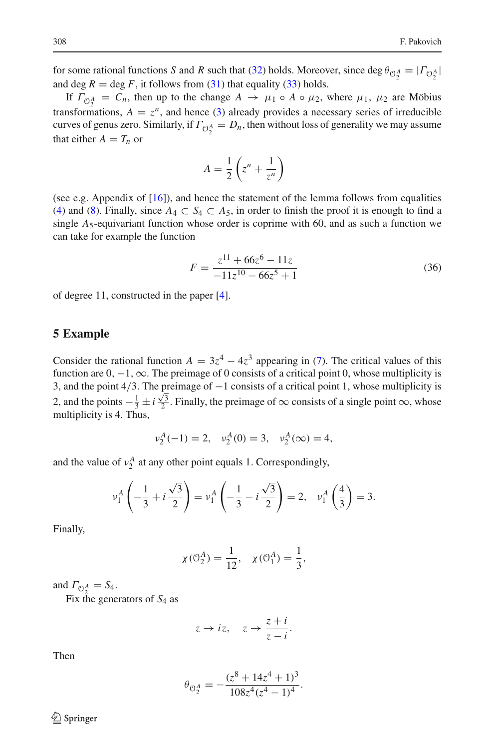for some rational functions *S* and *R* such that [\(32\)](#page-8-0) holds. Moreover, since  $\deg \theta_{\mathcal{O}_2^A} = |\Gamma_{\mathcal{O}_2^A}|$ and deg  $R = \deg F$ , it follows from [\(31\)](#page-8-3) that equality [\(33\)](#page-8-1) holds.

If  $\Gamma_{\mathcal{O}_2^A} = C_n$ , then up to the change  $A \to \mu_1 \circ A \circ \mu_2$ , where  $\mu_1, \mu_2$  are Möbius transformations,  $A = z^n$ , and hence [\(3\)](#page-1-1) already provides a necessary series of irreducible curves of genus zero. Similarly, if  $\Gamma_{\mathcal{O}_2^A} = D_n$ , then without loss of generality we may assume that either  $A = T_n$  or

$$
A = \frac{1}{2} \left( z^n + \frac{1}{z^n} \right)
$$

(see e.g. Appendix of [\[16](#page-11-11)]), and hence the statement of the lemma follows from equalities [\(4\)](#page-1-3) and [\(8\)](#page-1-4). Finally, since  $A_4 \subset S_4 \subset A_5$ , in order to finish the proof it is enough to find a single  $A_5$ -equivariant function whose order is coprime with 60, and as such a function we can take for example the function

<span id="page-9-1"></span>
$$
F = \frac{z^{11} + 66z^6 - 11z}{-11z^{10} - 66z^5 + 1}
$$
 (36)

of degree 11, constructed in the paper [\[4](#page-10-7)].

### <span id="page-9-0"></span>**5 Example**

Consider the rational function  $A = 3z^4 - 4z^3$  appearing in [\(7\)](#page-1-2). The critical values of this function are  $0, -1, \infty$ . The preimage of 0 consists of a critical point 0, whose multiplicity is 3, and the point 4/3. The preimage of −1 consists of a critical point 1, whose multiplicity is 2, and the points  $-\frac{1}{3} \pm i \frac{\sqrt{3}}{2}$ . Finally, the preimage of ∞ consists of a single point ∞, whose multiplicity is 4. Thus,

$$
v_2^A(-1) = 2
$$
,  $v_2^A(0) = 3$ ,  $v_2^A(\infty) = 4$ ,

and the value of  $v_2^A$  at any other point equals 1. Correspondingly,

$$
\nu_1^A \left( -\frac{1}{3} + i \frac{\sqrt{3}}{2} \right) = \nu_1^A \left( -\frac{1}{3} - i \frac{\sqrt{3}}{2} \right) = 2, \quad \nu_1^A \left( \frac{4}{3} \right) = 3.
$$

Finally,

$$
\chi(\mathcal{O}_2^A) = \frac{1}{12}, \quad \chi(\mathcal{O}_1^A) = \frac{1}{3},
$$

and  $\Gamma_{\mathcal{O}_2^A} = S_4$ .

Fix the generators of *S*<sup>4</sup> as

$$
z \rightarrow iz
$$
,  $z \rightarrow \frac{z+i}{z-i}$ .

Then

$$
\theta_{\mathcal{O}_2^A} = -\frac{(z^8 + 14z^4 + 1)^3}{108z^4(z^4 - 1)^4}.
$$

 $\circledcirc$  Springer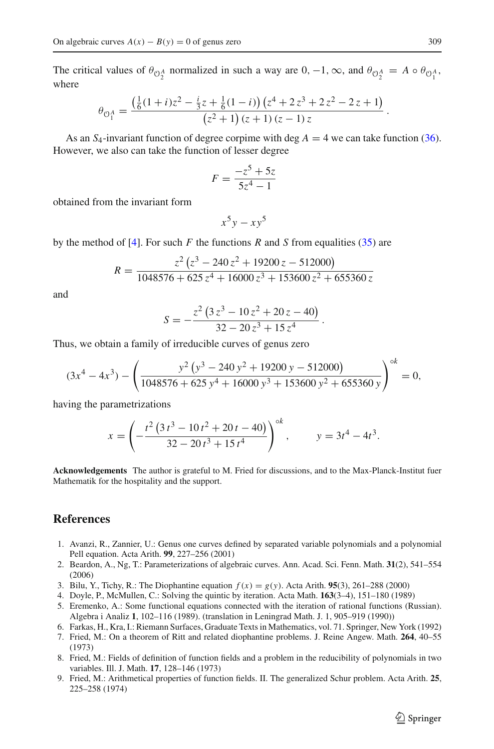The critical values of  $\theta_{\mathcal{O}_2^A}$  normalized in such a way are  $0, -1, \infty$ , and  $\theta_{\mathcal{O}_2^A} = A \circ \theta_{\mathcal{O}_1^A}$ , where

$$
\theta_{\mathcal{O}_1^A} = \frac{\left(\frac{1}{6}(1+i)z^2 - \frac{i}{3}z + \frac{1}{6}(1-i)\right)\left(z^4 + 2z^3 + 2z^2 - 2z + 1\right)}{\left(z^2 + 1\right)(z + 1)\left(z - 1\right)z}.
$$

As an  $S_4$ -invariant function of degree corpime with deg  $A = 4$  we can take function [\(36\)](#page-9-1). However, we also can take the function of lesser degree

$$
F = \frac{-z^5 + 5z}{5z^4 - 1}
$$

obtained from the invariant form

$$
x^5y - xy^5
$$

by the method of [\[4\]](#page-10-7). For such  $F$  the functions  $R$  and  $S$  from equalities [\(35\)](#page-8-4) are

$$
R = \frac{z^2 (z^3 - 240 z^2 + 19200 z - 512000)}{1048576 + 625 z^4 + 16000 z^3 + 153600 z^2 + 655360 z}
$$

and

$$
S = -\frac{z^2 \left(3 z^3 - 10 z^2 + 20 z - 40\right)}{32 - 20 z^3 + 15 z^4}.
$$

Thus, we obtain a family of irreducible curves of genus zero

$$
(3x4 - 4x3) - \left(\frac{y2 (y3 - 240 y2 + 19200 y - 512000)}{1048576 + 625 y4 + 16000 y3 + 153600 y2 + 655360 y}\right)^{ok} = 0,
$$

having the parametrizations

$$
x = \left(-\frac{t^2 (3t^3 - 10t^2 + 20t - 40)}{32 - 20t^3 + 15t^4}\right)^{\circ k}, \qquad y = 3t^4 - 4t^3.
$$

**Acknowledgements** The author is grateful to M. Fried for discussions, and to the Max-Planck-Institut fuer Mathematik for the hospitality and the support.

## **References**

- <span id="page-10-4"></span>1. Avanzi, R., Zannier, U.: Genus one curves defined by separated variable polynomials and a polynomial Pell equation. Acta Arith. **99**, 227–256 (2001)
- <span id="page-10-2"></span>2. Beardon, A., Ng, T.: Parameterizations of algebraic curves. Ann. Acad. Sci. Fenn. Math. **31**(2), 541–554 (2006)
- <span id="page-10-0"></span>3. Bilu, Y., Tichy, R.: The Diophantine equation *f* (*x*) = *g*(*y*). Acta Arith. **95**(3), 261–288 (2000)
- <span id="page-10-7"></span>4. Doyle, P., McMullen, C.: Solving the quintic by iteration. Acta Math. **163**(3–4), 151–180 (1989)
- <span id="page-10-5"></span>5. Eremenko, A.: Some functional equations connected with the iteration of rational functions (Russian). Algebra i Analiz **1**, 102–116 (1989). (translation in Leningrad Math. J. 1, 905–919 (1990))
- <span id="page-10-6"></span>6. Farkas, H., Kra, I.: Riemann Surfaces, Graduate Texts in Mathematics, vol. 71. Springer, New York (1992)
- <span id="page-10-1"></span>7. Fried, M.: On a theorem of Ritt and related diophantine problems. J. Reine Angew. Math. **264**, 40–55 (1973)
- 8. Fried, M.: Fields of definition of function fields and a problem in the reducibility of polynomials in two variables. Ill. J. Math. **17**, 128–146 (1973)
- <span id="page-10-3"></span>9. Fried, M.: Arithmetical properties of function fields. II. The generalized Schur problem. Acta Arith. **25**, 225–258 (1974)